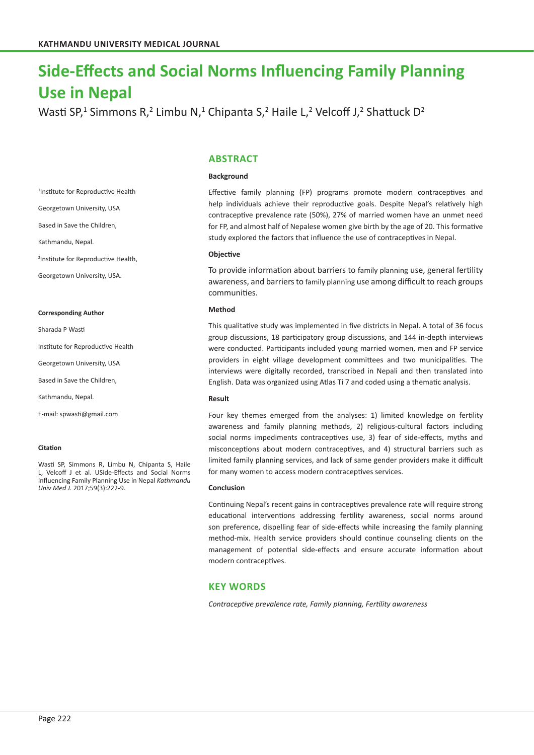# **Side-Effects and Social Norms Influencing Family Planning Use in Nepal**

Wasti SP,<sup>1</sup> Simmons R,<sup>2</sup> Limbu N,<sup>1</sup> Chipanta S,<sup>2</sup> Haile L,<sup>2</sup> Velcoff J,<sup>2</sup> Shattuck D<sup>2</sup>

# **ABSTRACT**

## **Background**

Effective family planning (FP) programs promote modern contraceptives and help individuals achieve their reproductive goals. Despite Nepal's relatively high contraceptive prevalence rate (50%), 27% of married women have an unmet need for FP, and almost half of Nepalese women give birth by the age of 20. This formative study explored the factors that influence the use of contraceptives in Nepal.

## **Objective**

To provide information about barriers to family planning use, general fertility awareness, and barriers to family planning use among difficult to reach groups communities.

## **Method**

This qualitative study was implemented in five districts in Nepal. A total of 36 focus group discussions, 18 participatory group discussions, and 144 in-depth interviews were conducted. Participants included young married women, men and FP service providers in eight village development committees and two municipalities. The interviews were digitally recorded, transcribed in Nepali and then translated into English. Data was organized using Atlas Ti 7 and coded using a thematic analysis.

## **Result**

Four key themes emerged from the analyses: 1) limited knowledge on fertility awareness and family planning methods, 2) religious-cultural factors including social norms impediments contraceptives use, 3) fear of side-effects, myths and misconceptions about modern contraceptives, and 4) structural barriers such as limited family planning services, and lack of same gender providers make it difficult for many women to access modern contraceptives services.

## **Conclusion**

Continuing Nepal's recent gains in contraceptives prevalence rate will require strong educational interventions addressing fertility awareness, social norms around son preference, dispelling fear of side-effects while increasing the family planning method-mix. Health service providers should continue counseling clients on the management of potential side-effects and ensure accurate information about modern contraceptives.

# **KEY WORDS**

*Contraceptive prevalence rate, Family planning, Fertility awareness*

1 Institute for Reproductive Health

Georgetown University, USA

Based in Save the Children,

Kathmandu, Nepal.

2 Institute for Reproductive Health,

Georgetown University, USA.

#### **Corresponding Author**

Sharada P Wasti

Institute for Reproductive Health

Georgetown University, USA

Based in Save the Children,

Kathmandu, Nepal.

E-mail: spwasti@gmail.com

#### **Citation**

Wasti SP, Simmons R, Limbu N, Chipanta S, Haile L, Velcoff J et al. USide-Effects and Social Norms Influencing Family Planning Use in Nepal *Kathmandu Univ Med J.* 2017;59(3):222-9.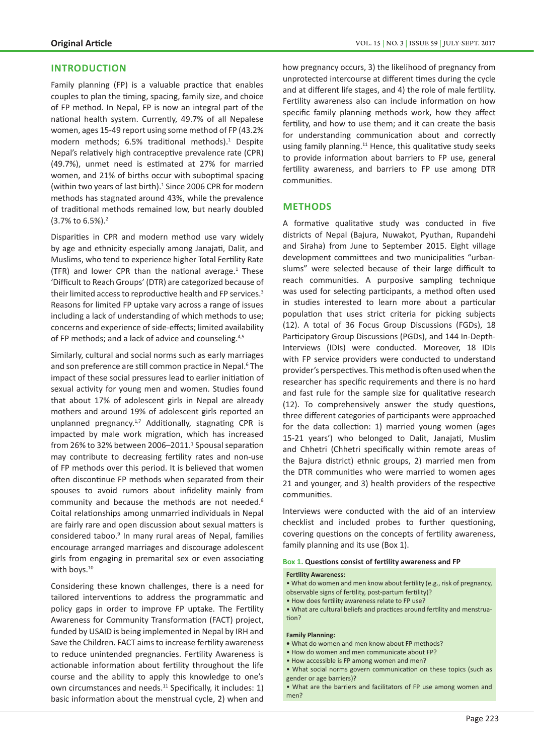# **INTRODUCTION**

Family planning (FP) is a valuable practice that enables couples to plan the timing, spacing, family size, and choice of FP method. In Nepal, FP is now an integral part of the national health system. Currently, 49.7% of all Nepalese women, ages 15-49 report using some method of FP (43.2% modern methods; 6.5% traditional methods).<sup>1</sup> Despite Nepal's relatively high contraceptive prevalence rate (CPR) (49.7%), unmet need is estimated at 27% for married women, and 21% of births occur with suboptimal spacing (within two years of last birth).<sup>1</sup> Since 2006 CPR for modern methods has stagnated around 43%, while the prevalence of traditional methods remained low, but nearly doubled (3.7% to 6.5%).<sup>2</sup>

Disparities in CPR and modern method use vary widely by age and ethnicity especially among Janajati, Dalit, and Muslims, who tend to experience higher Total Fertility Rate (TFR) and lower CPR than the national average. $1$  These 'Difficult to Reach Groups' (DTR) are categorized because of their limited access to reproductive health and FP services.<sup>3</sup> Reasons for limited FP uptake vary across a range of issues including a lack of understanding of which methods to use; concerns and experience of side-effects; limited availability of FP methods; and a lack of advice and counseling.<sup>4,5</sup>

Similarly, cultural and social norms such as early marriages and son preference are still common practice in Nepal.<sup>6</sup> The impact of these social pressures lead to earlier initiation of sexual activity for young men and women. Studies found that about 17% of adolescent girls in Nepal are already mothers and around 19% of adolescent girls reported an unplanned pregnancy.<sup>1,7</sup> Additionally, stagnating CPR is impacted by male work migration, which has increased from 26% to 32% between 2006–2011.<sup>1</sup> Spousal separation may contribute to decreasing fertility rates and non-use of FP methods over this period. It is believed that women often discontinue FP methods when separated from their spouses to avoid rumors about infidelity mainly from community and because the methods are not needed.<sup>8</sup> Coital relationships among unmarried individuals in Nepal are fairly rare and open discussion about sexual matters is considered taboo.<sup>9</sup> In many rural areas of Nepal, families encourage arranged marriages and discourage adolescent girls from engaging in premarital sex or even associating with boys.<sup>10</sup>

Considering these known challenges, there is a need for tailored interventions to address the programmatic and policy gaps in order to improve FP uptake. The Fertility Awareness for Community Transformation (FACT) project, funded by USAID is being implemented in Nepal by IRH and Save the Children. FACT aims to increase fertility awareness to reduce unintended pregnancies. Fertility Awareness is actionable information about fertility throughout the life course and the ability to apply this knowledge to one's own circumstances and needs.<sup>11</sup> Specifically, it includes: 1) basic information about the menstrual cycle, 2) when and

how pregnancy occurs, 3) the likelihood of pregnancy from unprotected intercourse at different times during the cycle and at different life stages, and 4) the role of male fertility. Fertility awareness also can include information on how specific family planning methods work, how they affect fertility, and how to use them; and it can create the basis for understanding communication about and correctly using family planning.<sup>11</sup> Hence, this qualitative study seeks to provide information about barriers to FP use, general fertility awareness, and barriers to FP use among DTR communities.

# **METHODS**

A formative qualitative study was conducted in five districts of Nepal (Bajura, Nuwakot, Pyuthan, Rupandehi and Siraha) from June to September 2015. Eight village development committees and two municipalities "urbanslums" were selected because of their large difficult to reach communities. A purposive sampling technique was used for selecting participants, a method often used in studies interested to learn more about a particular population that uses strict criteria for picking subjects (12). A total of 36 Focus Group Discussions (FGDs), 18 Participatory Group Discussions (PGDs), and 144 In-Depth-Interviews (IDIs) were conducted. Moreover, 18 IDIs with FP service providers were conducted to understand provider's perspectives. This method is often used when the researcher has specific requirements and there is no hard and fast rule for the sample size for qualitative research (12). To comprehensively answer the study questions, three different categories of participants were approached for the data collection: 1) married young women (ages 15-21 years') who belonged to Dalit, Janajati, Muslim and Chhetri (Chhetri specifically within remote areas of the Bajura district) ethnic groups, 2) married men from the DTR communities who were married to women ages 21 and younger, and 3) health providers of the respective communities.

Interviews were conducted with the aid of an interview checklist and included probes to further questioning, covering questions on the concepts of fertility awareness, family planning and its use (Box 1).

## **Box 1. Questions consist of fertility awareness and FP**

#### **Fertility Awareness:**

- What do women and men know about fertility (e.g., risk of pregnancy, observable signs of fertility, post-partum fertility)?
- How does fertility awareness relate to FP use?

• What are cultural beliefs and practices around fertility and menstruation?

#### **Family Planning:**

- What do women and men know about FP methods?
- How do women and men communicate about FP?
- How accessible is FP among women and men?
- What social norms govern communication on these topics (such as gender or age barriers)?
- What are the barriers and facilitators of FP use among women and men?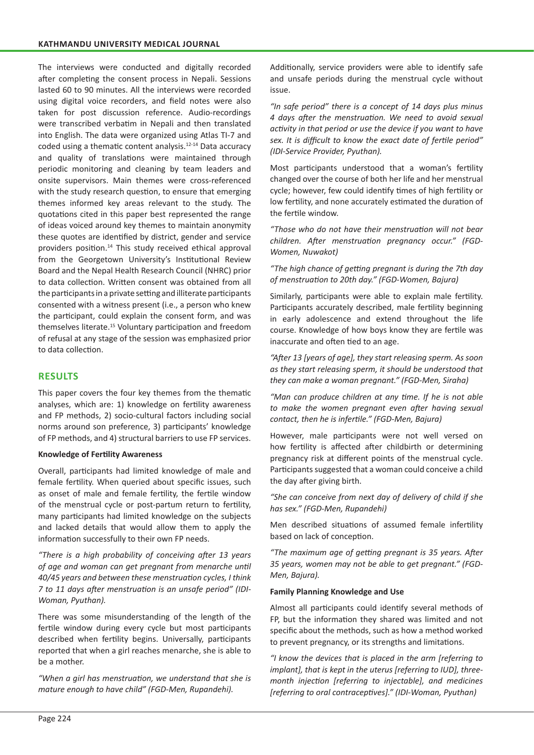The interviews were conducted and digitally recorded after completing the consent process in Nepali. Sessions lasted 60 to 90 minutes. All the interviews were recorded using digital voice recorders, and field notes were also taken for post discussion reference. Audio-recordings were transcribed verbatim in Nepali and then translated into English. The data were organized using Atlas TI-7 and coded using a thematic content analysis.12-14 Data accuracy and quality of translations were maintained through periodic monitoring and cleaning by team leaders and onsite supervisors. Main themes were cross-referenced with the study research question, to ensure that emerging themes informed key areas relevant to the study. The quotations cited in this paper best represented the range of ideas voiced around key themes to maintain anonymity these quotes are identified by district, gender and service providers position.14 This study received ethical approval from the Georgetown University's Institutional Review Board and the Nepal Health Research Council (NHRC) prior to data collection. Written consent was obtained from all the participants in a private setting and illiterate participants consented with a witness present (i.e., a person who knew the participant, could explain the consent form, and was themselves literate.<sup>15</sup> Voluntary participation and freedom of refusal at any stage of the session was emphasized prior to data collection.

# **RESULTS**

This paper covers the four key themes from the thematic analyses, which are: 1) knowledge on fertility awareness and FP methods, 2) socio-cultural factors including social norms around son preference, 3) participants' knowledge of FP methods, and 4) structural barriers to use FP services.

## **Knowledge of Fertility Awareness**

Overall, participants had limited knowledge of male and female fertility. When queried about specific issues, such as onset of male and female fertility, the fertile window of the menstrual cycle or post-partum return to fertility, many participants had limited knowledge on the subjects and lacked details that would allow them to apply the information successfully to their own FP needs.

*"There is a high probability of conceiving after 13 years of age and woman can get pregnant from menarche until 40/45 years and between these menstruation cycles, I think 7 to 11 days after menstruation is an unsafe period" (IDI-Woman, Pyuthan).*

There was some misunderstanding of the length of the fertile window during every cycle but most participants described when fertility begins. Universally, participants reported that when a girl reaches menarche, she is able to be a mother.

*"When a girl has menstruation, we understand that she is mature enough to have child" (FGD-Men, Rupandehi).*

Additionally, service providers were able to identify safe and unsafe periods during the menstrual cycle without issue.

*"In safe period" there is a concept of 14 days plus minus 4 days after the menstruation. We need to avoid sexual activity in that period or use the device if you want to have sex. It is difficult to know the exact date of fertile period" (IDI-Service Provider, Pyuthan).*

Most participants understood that a woman's fertility changed over the course of both her life and her menstrual cycle; however, few could identify times of high fertility or low fertility, and none accurately estimated the duration of the fertile window.

*"Those who do not have their menstruation will not bear children. After menstruation pregnancy occur." (FGD-Women, Nuwakot)* 

*"The high chance of getting pregnant is during the 7th day of menstruation to 20th day." (FGD-Women, Bajura)*

Similarly, participants were able to explain male fertility. Participants accurately described, male fertility beginning in early adolescence and extend throughout the life course. Knowledge of how boys know they are fertile was inaccurate and often tied to an age.

*"After 13 [years of age], they start releasing sperm. As soon as they start releasing sperm, it should be understood that they can make a woman pregnant." (FGD-Men, Siraha)*

*"Man can produce children at any time. If he is not able to make the women pregnant even after having sexual contact, then he is infertile." (FGD-Men, Bajura)*

However, male participants were not well versed on how fertility is affected after childbirth or determining pregnancy risk at different points of the menstrual cycle. Participants suggested that a woman could conceive a child the day after giving birth.

*"She can conceive from next day of delivery of child if she has sex." (FGD-Men, Rupandehi)*

Men described situations of assumed female infertility based on lack of conception.

*"The maximum age of getting pregnant is 35 years. After 35 years, women may not be able to get pregnant." (FGD-Men, Bajura).*

# **Family Planning Knowledge and Use**

Almost all participants could identify several methods of FP, but the information they shared was limited and not specific about the methods, such as how a method worked to prevent pregnancy, or its strengths and limitations.

*"I know the devices that is placed in the arm [referring to implant], that is kept in the uterus [referring to IUD], threemonth injection [referring to injectable], and medicines [referring to oral contraceptives]." (IDI-Woman, Pyuthan)*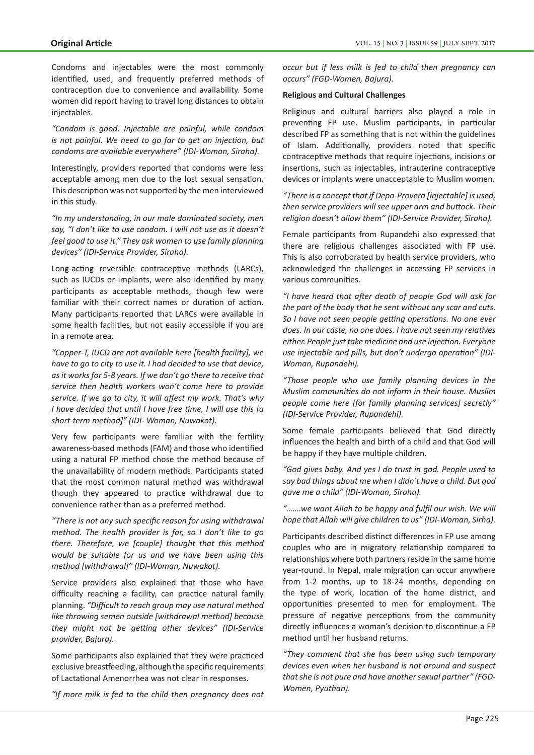Condoms and injectables were the most commonly identified, used, and frequently preferred methods of contraception due to convenience and availability. Some women did report having to travel long distances to obtain injectables.

*"Condom is good. Injectable are painful, while condom is not painful. We need to go far to get an injection, but condoms are available everywhere" (IDI-Woman, Siraha).*

Interestingly, providers reported that condoms were less acceptable among men due to the lost sexual sensation. This description was not supported by the men interviewed in this study.

*"In my understanding, in our male dominated society, men say, "I don't like to use condom. I will not use as it doesn't feel good to use it." They ask women to use family planning devices" (IDI-Service Provider, Siraha).*

Long-acting reversible contraceptive methods (LARCs), such as IUCDs or implants, were also identified by many participants as acceptable methods, though few were familiar with their correct names or duration of action. Many participants reported that LARCs were available in some health facilities, but not easily accessible if you are in a remote area.

*"Copper-T, IUCD are not available here [health facility], we have to go to city to use it. I had decided to use that device, as it works for 5-8 years. If we don't go there to receive that service then health workers won't come here to provide service. If we go to city, it will affect my work. That's why I have decided that until I have free time, I will use this [a short-term method]" (IDI- Woman, Nuwakot).*

Very few participants were familiar with the fertility awareness-based methods (FAM) and those who identified using a natural FP method chose the method because of the unavailability of modern methods. Participants stated that the most common natural method was withdrawal though they appeared to practice withdrawal due to convenience rather than as a preferred method.

*"There is not any such specific reason for using withdrawal method. The health provider is far, so I don't like to go there. Therefore, we [couple] thought that this method would be suitable for us and we have been using this method [withdrawal]" (IDI-Woman, Nuwakot).*

Service providers also explained that those who have difficulty reaching a facility, can practice natural family planning. *"Difficult to reach group may use natural method like throwing semen outside [withdrawal method] because they might not be getting other devices" (IDI-Service provider, Bajura).*

Some participants also explained that they were practiced exclusive breastfeeding, although the specific requirements of Lactational Amenorrhea was not clear in responses.

*"If more milk is fed to the child then pregnancy does not* 

*occur but if less milk is fed to child then pregnancy can occurs" (FGD-Women, Bajura).*

## **Religious and Cultural Challenges**

Religious and cultural barriers also played a role in preventing FP use. Muslim participants, in particular described FP as something that is not within the guidelines of Islam. Additionally, providers noted that specific contraceptive methods that require injections, incisions or insertions, such as injectables, intrauterine contraceptive devices or implants were unacceptable to Muslim women.

*"There is a concept that if Depo-Provera [injectable] is used, then service providers will see upper arm and buttock. Their religion doesn't allow them" (IDI-Service Provider, Siraha).*

Female participants from Rupandehi also expressed that there are religious challenges associated with FP use. This is also corroborated by health service providers, who acknowledged the challenges in accessing FP services in various communities.

*"I have heard that after death of people God will ask for the part of the body that he sent without any scar and cuts. So I have not seen people getting operations. No one ever does. In our caste, no one does. I have not seen my relatives either. People just take medicine and use injection. Everyone use injectable and pills, but don't undergo operation" (IDI-Woman, Rupandehi).*

*"Those people who use family planning devices in the Muslim communities do not inform in their house. Muslim people come here [for family planning services] secretly" (IDI-Service Provider, Rupandehi).*

Some female participants believed that God directly influences the health and birth of a child and that God will be happy if they have multiple children.

*"God gives baby. And yes I do trust in god. People used to say bad things about me when I didn't have a child. But god gave me a child" (IDI-Woman, Siraha).* 

*"…….we want Allah to be happy and fulfil our wish. We will hope that Allah will give children to us" (IDI-Woman, Sirha).*

Participants described distinct differences in FP use among couples who are in migratory relationship compared to relationships where both partners reside in the same home year-round. In Nepal, male migration can occur anywhere from 1-2 months, up to 18-24 months, depending on the type of work, location of the home district, and opportunities presented to men for employment. The pressure of negative perceptions from the community directly influences a woman's decision to discontinue a FP method until her husband returns.

*"They comment that she has been using such temporary devices even when her husband is not around and suspect that she is not pure and have another sexual partner" (FGD-Women, Pyuthan).*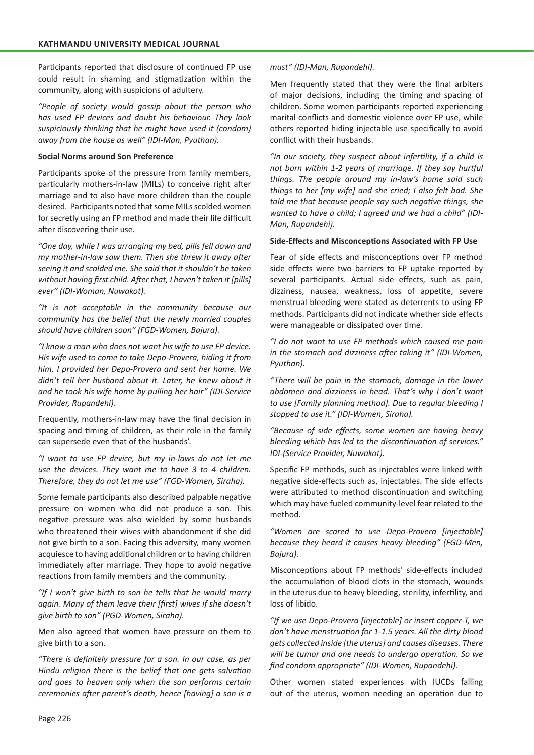Participants reported that disclosure of continued FP use could result in shaming and stigmatization within the community, along with suspicions of adultery.

*"People of society would gossip about the person who has used FP devices and doubt his behaviour. They look suspiciously thinking that he might have used it (condom) away from the house as well" (IDI-Man, Pyuthan).*

# **Social Norms around Son Preference**

Participants spoke of the pressure from family members, particularly mothers-in-law (MILs) to conceive right after marriage and to also have more children than the couple desired. Participants noted that some MILs scolded women for secretly using an FP method and made their life difficult after discovering their use.

*"One day, while I was arranging my bed, pills fell down and my mother-in-law saw them. Then she threw it away after seeing it and scolded me. She said that it shouldn't be taken without having first child. After that, I haven't taken it [pills] ever" (IDI-Woman, Nuwakot).*

*"It is not acceptable in the community because our community has the belief that the newly married couples should have children soon" (FGD-Women, Bajura).*

*"I know a man who does not want his wife to use FP device. His wife used to come to take Depo-Provera, hiding it from him. I provided her Depo-Provera and sent her home. We didn't tell her husband about it. Later, he knew about it and he took his wife home by pulling her hair" (IDI-Service Provider, Rupandehi).*

Frequently, mothers-in-law may have the final decision in spacing and timing of children, as their role in the family can supersede even that of the husbands'.

*"I want to use FP device, but my in-laws do not let me use the devices. They want me to have 3 to 4 children. Therefore, they do not let me use" (FGD-Women, Siraha).*

Some female participants also described palpable negative pressure on women who did not produce a son. This negative pressure was also wielded by some husbands who threatened their wives with abandonment if she did not give birth to a son. Facing this adversity, many women acquiesce to having additional children or to having children immediately after marriage. They hope to avoid negative reactions from family members and the community.

*"If I won't give birth to son he tells that he would marry again. Many of them leave their [first] wives if she doesn't give birth to son" (PGD-Women, Siraha).*

Men also agreed that women have pressure on them to give birth to a son.

*"There is definitely pressure for a son. In our case, as per Hindu religion there is the belief that one gets salvation and goes to heaven only when the son performs certain ceremonies after parent's death, hence [having] a son is a* 

*must" (IDI-Man, Rupandehi).*

Men frequently stated that they were the final arbiters of major decisions, including the timing and spacing of children. Some women participants reported experiencing marital conflicts and domestic violence over FP use, while others reported hiding injectable use specifically to avoid conflict with their husbands.

*"In our society, they suspect about infertility, if a child is not born within 1-2 years of marriage. If they say hurtful things. The people around my in-law's home said such things to her [my wife] and she cried; I also felt bad. She told me that because people say such negative things, she wanted to have a child; I agreed and we had a child" (IDI-Man, Rupandehi).*

# **Side-Effects and Misconceptions Associated with FP Use**

Fear of side effects and misconceptions over FP method side effects were two barriers to FP uptake reported by several participants. Actual side effects, such as pain, dizziness, nausea, weakness, loss of appetite, severe menstrual bleeding were stated as deterrents to using FP methods. Participants did not indicate whether side effects were manageable or dissipated over time.

*"I do not want to use FP methods which caused me pain in the stomach and dizziness after taking it" (IDI-Women, Pyuthan).*

*"There will be pain in the stomach, damage in the lower abdomen and dizziness in head. That's why I don't want to use [Family planning method]. Due to regular bleeding I stopped to use it." (IDI-Women, Siraha).*

*"Because of side effects, some women are having heavy bleeding which has led to the discontinuation of services." IDI-(Service Provider, Nuwakot).*

Specific FP methods, such as injectables were linked with negative side-effects such as, injectables. The side effects were attributed to method discontinuation and switching which may have fueled community-level fear related to the method.

*"Women are scared to use Depo-Provera [injectable] because they heard it causes heavy bleeding" (FGD-Men, Bajura).*

Misconceptions about FP methods' side-effects included the accumulation of blood clots in the stomach, wounds in the uterus due to heavy bleeding, sterility, infertility, and loss of libido.

*"If we use Depo-Provera [injectable] or insert copper-T, we don't have menstruation for 1-1.5 years. All the dirty blood gets collected inside [the uterus] and causes diseases. There will be tumor and one needs to undergo operation. So we find condom appropriate" (IDI-Women, Rupandehi).*

Other women stated experiences with IUCDs falling out of the uterus, women needing an operation due to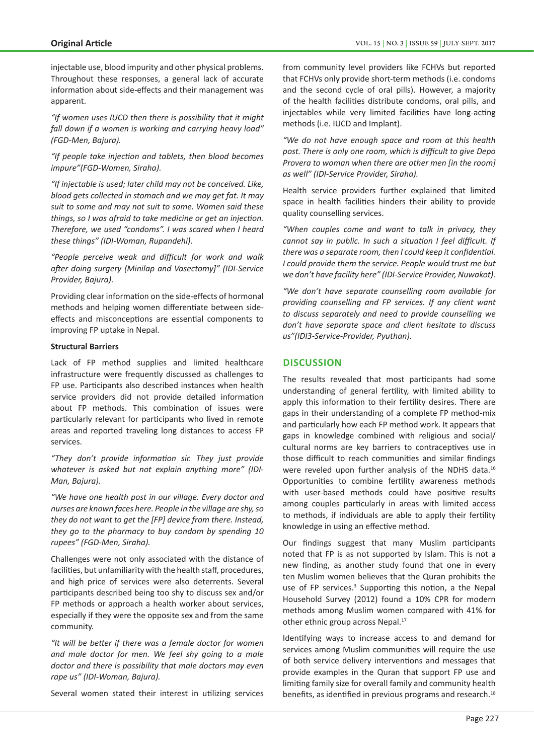injectable use, blood impurity and other physical problems. Throughout these responses, a general lack of accurate information about side-effects and their management was apparent.

*"If women uses IUCD then there is possibility that it might fall down if a women is working and carrying heavy load" (FGD-Men, Bajura).*

*"If people take injection and tablets, then blood becomes impure"(FGD-Women, Siraha).*

*"If injectable is used; later child may not be conceived. Like, blood gets collected in stomach and we may get fat. It may suit to some and may not suit to some. Women said these things, so I was afraid to take medicine or get an injection. Therefore, we used "condoms". I was scared when I heard these things" (IDI-Woman, Rupandehi).* 

*"People perceive weak and difficult for work and walk after doing surgery (Minilap and Vasectomy]" (IDI-Service Provider, Bajura).*

Providing clear information on the side-effects of hormonal methods and helping women differentiate between sideeffects and misconceptions are essential components to improving FP uptake in Nepal.

## **Structural Barriers**

Lack of FP method supplies and limited healthcare infrastructure were frequently discussed as challenges to FP use. Participants also described instances when health service providers did not provide detailed information about FP methods. This combination of issues were particularly relevant for participants who lived in remote areas and reported traveling long distances to access FP services.

*"They don't provide information sir. They just provide whatever is asked but not explain anything more" (IDI-Man, Bajura).*

*"We have one health post in our village. Every doctor and nurses are known faces here. People in the village are shy, so they do not want to get the [FP] device from there. Instead, they go to the pharmacy to buy condom by spending 10 rupees" (FGD-Men, Siraha).*

Challenges were not only associated with the distance of facilities, but unfamiliarity with the health staff, procedures, and high price of services were also deterrents. Several participants described being too shy to discuss sex and/or FP methods or approach a health worker about services, especially if they were the opposite sex and from the same community.

*"It will be better if there was a female doctor for women and male doctor for men. We feel shy going to a male doctor and there is possibility that male doctors may even rape us" (IDI-Woman, Bajura).* 

Several women stated their interest in utilizing services

from community level providers like FCHVs but reported that FCHVs only provide short-term methods (i.e. condoms and the second cycle of oral pills). However, a majority of the health facilities distribute condoms, oral pills, and injectables while very limited facilities have long-acting methods (i.e. IUCD and Implant).

*"We do not have enough space and room at this health post. There is only one room, which is difficult to give Depo Provera to woman when there are other men [in the room] as well" (IDI-Service Provider, Siraha).*

Health service providers further explained that limited space in health facilities hinders their ability to provide quality counselling services.

*"When couples come and want to talk in privacy, they cannot say in public. In such a situation I feel difficult. If there was a separate room, then I could keep it confidential. I could provide them the service. People would trust me but we don't have facility here" (IDI-Service Provider, Nuwakot).*

*"We don't have separate counselling room available for providing counselling and FP services. If any client want to discuss separately and need to provide counselling we don't have separate space and client hesitate to discuss us"(IDI3-Service-Provider, Pyuthan).*

# **DISCUSSION**

The results revealed that most participants had some understanding of general fertility, with limited ability to apply this information to their fertility desires. There are gaps in their understanding of a complete FP method-mix and particularly how each FP method work. It appears that gaps in knowledge combined with religious and social/ cultural norms are key barriers to contraceptives use in those difficult to reach communities and similar findings were reveled upon further analysis of the NDHS data.<sup>16</sup> Opportunities to combine fertility awareness methods with user-based methods could have positive results among couples particularly in areas with limited access to methods, if individuals are able to apply their fertility knowledge in using an effective method.

Our findings suggest that many Muslim participants noted that FP is as not supported by Islam. This is not a new finding, as another study found that one in every ten Muslim women believes that the Quran prohibits the use of FP services.<sup>3</sup> Supporting this notion, a the Nepal Household Survey (2012) found a 10% CPR for modern methods among Muslim women compared with 41% for other ethnic group across Nepal.<sup>17</sup>

Identifying ways to increase access to and demand for services among Muslim communities will require the use of both service delivery interventions and messages that provide examples in the Quran that support FP use and limiting family size for overall family and community health benefits, as identified in previous programs and research. $18$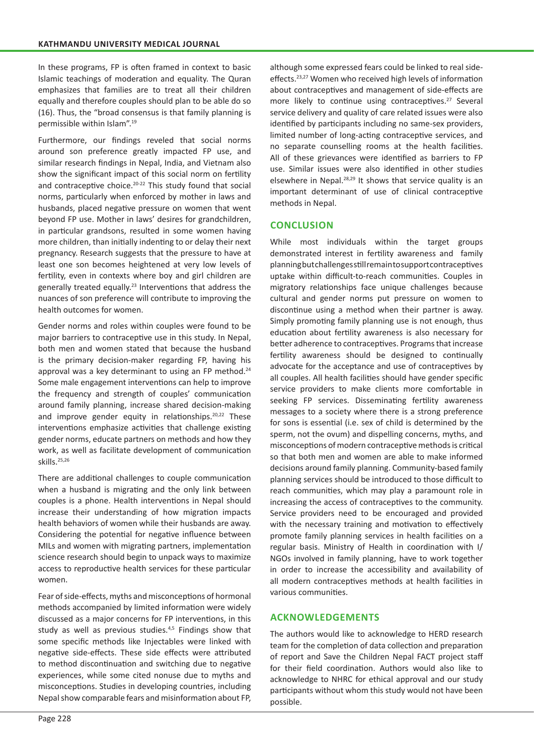In these programs, FP is often framed in context to basic Islamic teachings of moderation and equality. The Quran emphasizes that families are to treat all their children equally and therefore couples should plan to be able do so (16). Thus, the "broad consensus is that family planning is permissible within Islam".<sup>19</sup>

Furthermore, our findings reveled that social norms around son preference greatly impacted FP use, and similar research findings in Nepal, India, and Vietnam also show the significant impact of this social norm on fertility and contraceptive choice.20-22 This study found that social norms, particularly when enforced by mother in laws and husbands, placed negative pressure on women that went beyond FP use. Mother in laws' desires for grandchildren, in particular grandsons, resulted in some women having more children, than initially indenting to or delay their next pregnancy. Research suggests that the pressure to have at least one son becomes heightened at very low levels of fertility, even in contexts where boy and girl children are generally treated equally.<sup>23</sup> Interventions that address the nuances of son preference will contribute to improving the health outcomes for women.

Gender norms and roles within couples were found to be major barriers to contraceptive use in this study. In Nepal, both men and women stated that because the husband is the primary decision-maker regarding FP, having his approval was a key determinant to using an FP method.<sup>24</sup> Some male engagement interventions can help to improve the frequency and strength of couples' communication around family planning, increase shared decision-making and improve gender equity in relationships.<sup>20,22</sup> These interventions emphasize activities that challenge existing gender norms, educate partners on methods and how they work, as well as facilitate development of communication skills.25,26

There are additional challenges to couple communication when a husband is migrating and the only link between couples is a phone. Health interventions in Nepal should increase their understanding of how migration impacts health behaviors of women while their husbands are away. Considering the potential for negative influence between MILs and women with migrating partners, implementation science research should begin to unpack ways to maximize access to reproductive health services for these particular women.

Fear of side-effects, myths and misconceptions of hormonal methods accompanied by limited information were widely discussed as a major concerns for FP interventions, in this study as well as previous studies.<sup>4,5</sup> Findings show that some specific methods like Injectables were linked with negative side-effects. These side effects were attributed to method discontinuation and switching due to negative experiences, while some cited nonuse due to myths and misconceptions. Studies in developing countries, including Nepal show comparable fears and misinformation about FP, although some expressed fears could be linked to real sideeffects.23,27 Women who received high levels of information about contraceptives and management of side-effects are more likely to continue using contraceptives.<sup>27</sup> Several service delivery and quality of care related issues were also identified by participants including no same-sex providers, limited number of long-acting contraceptive services, and no separate counselling rooms at the health facilities. All of these grievances were identified as barriers to FP use. Similar issues were also identified in other studies elsewhere in Nepal.<sup>28,29</sup> It shows that service quality is an important determinant of use of clinical contraceptive methods in Nepal.

# **CONCLUSION**

While most individuals within the target groups demonstrated interest in fertility awareness and family planning but challenges still remain to support contraceptives uptake within difficult-to-reach communities. Couples in migratory relationships face unique challenges because cultural and gender norms put pressure on women to discontinue using a method when their partner is away. Simply promoting family planning use is not enough, thus education about fertility awareness is also necessary for better adherence to contraceptives. Programs that increase fertility awareness should be designed to continually advocate for the acceptance and use of contraceptives by all couples. All health facilities should have gender specific service providers to make clients more comfortable in seeking FP services. Disseminating fertility awareness messages to a society where there is a strong preference for sons is essential (i.e. sex of child is determined by the sperm, not the ovum) and dispelling concerns, myths, and misconceptions of modern contraceptive methods is critical so that both men and women are able to make informed decisions around family planning. Community-based family planning services should be introduced to those difficult to reach communities, which may play a paramount role in increasing the access of contraceptives to the community. Service providers need to be encouraged and provided with the necessary training and motivation to effectively promote family planning services in health facilities on a regular basis. Ministry of Health in coordination with I/ NGOs involved in family planning, have to work together in order to increase the accessibility and availability of all modern contraceptives methods at health facilities in various communities.

# **ACKNOWLEDGEMENTS**

The authors would like to acknowledge to HERD research team for the completion of data collection and preparation of report and Save the Children Nepal FACT project staff for their field coordination. Authors would also like to acknowledge to NHRC for ethical approval and our study participants without whom this study would not have been possible.